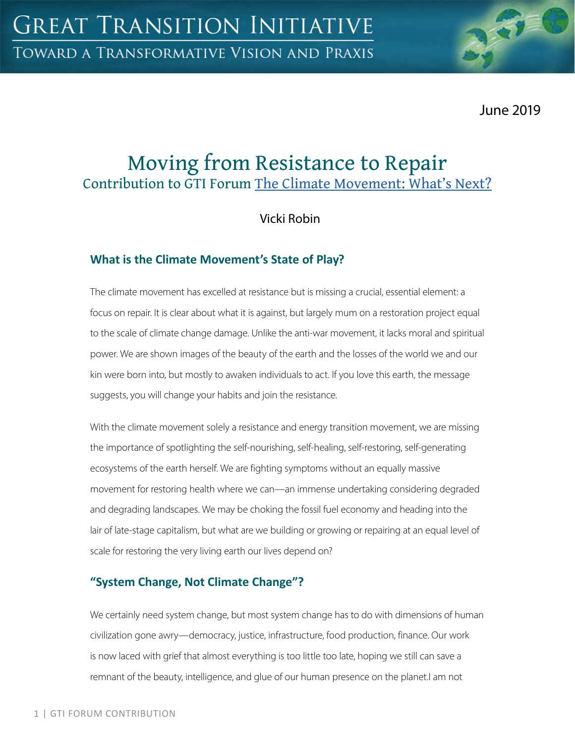June 2019

# Moving from Resistance to Repair Contribution to GTI Forum The Climate Movement: What's Next?

Vicki Robin

### **What is the Climate Movement's State of Play?**

The climate movement has excelled at resistance but is missing a crucial, essential element: a focus on repair. It is clear about what it is against, but largely mum on a restoration project equal to the scale of climate change damage. Unlike the anti-war movement, it lacks moral and spiritual power. We are shown images of the beauty of the earth and the losses of the world we and our kin were born into, but mostly to awaken individuals to act. If you love this earth, the message suggests, you will change your habits and join the resistance.

With the climate movement solely a resistance and energy transition movement, we are missing the importance of spotlighting the self-nourishing, self-healing, self-restoring, self-generating ecosystems of the earth herself. We are fighting symptoms without an equally massive movement for restoring health where we can—an immense undertaking considering degraded and degrading landscapes. We may be choking the fossil fuel economy and heading into the lair of late-stage capitalism, but what are we building or growing or repairing at an equal level of scale for restoring the very living earth our lives depend on?

## **"System Change, Not Climate Change"?**

We certainly need system change, but most system change has to do with dimensions of human civilization gone awry—democracy, justice, infrastructure, food production, finance. Our work is now laced with grief that almost everything is too little too late, hoping we still can save a remnant of the beauty, intelligence, and glue of our human presence on the planet.I am not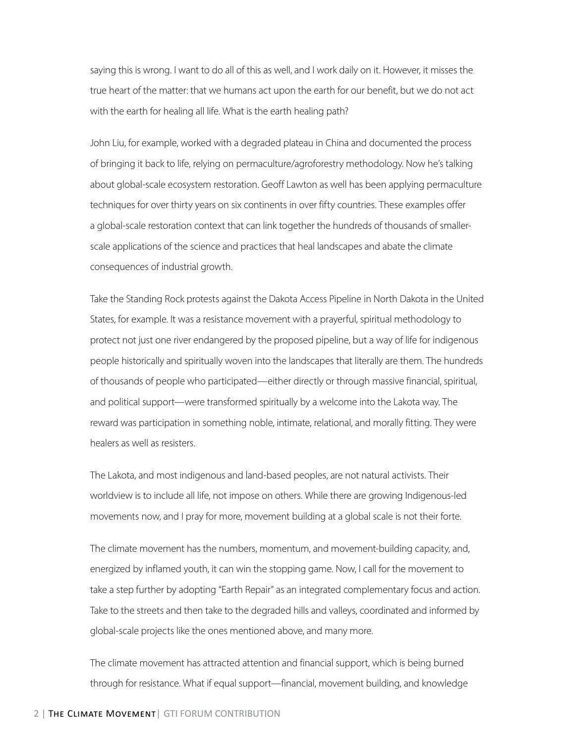saying this is wrong. I want to do all of this as well, and I work daily on it. However, it misses the true heart of the matter: that we humans act upon the earth for our benefit, but we do not act with the earth for healing all life. What is the earth healing path?

John Liu, for example, worked with a degraded plateau in China and documented the process of bringing it back to life, relying on permaculture/agroforestry methodology. Now he's talking about global-scale ecosystem restoration. Geoff Lawton as well has been applying permaculture techniques for over thirty years on six continents in over fifty countries. These examples offer a global-scale restoration context that can link together the hundreds of thousands of smallerscale applications of the science and practices that heal landscapes and abate the climate consequences of industrial growth.

Take the Standing Rock protests against the Dakota Access Pipeline in North Dakota in the United States, for example. It was a resistance movement with a prayerful, spiritual methodology to protect not just one river endangered by the proposed pipeline, but a way of life for indigenous people historically and spiritually woven into the landscapes that literally are them. The hundreds of thousands of people who participated—either directly or through massive financial, spiritual, and political support—were transformed spiritually by a welcome into the Lakota way. The reward was participation in something noble, intimate, relational, and morally fitting. They were healers as well as resisters.

The Lakota, and most indigenous and land-based peoples, are not natural activists. Their worldview is to include all life, not impose on others. While there are growing Indigenous-led movements now, and I pray for more, movement building at a global scale is not their forte.

The climate movement has the numbers, momentum, and movement-building capacity, and, energized by inflamed youth, it can win the stopping game. Now, I call for the movement to take a step further by adopting "Earth Repair" as an integrated complementary focus and action. Take to the streets and then take to the degraded hills and valleys, coordinated and informed by global-scale projects like the ones mentioned above, and many more.

The climate movement has attracted attention and financial support, which is being burned through for resistance. What if equal support—financial, movement building, and knowledge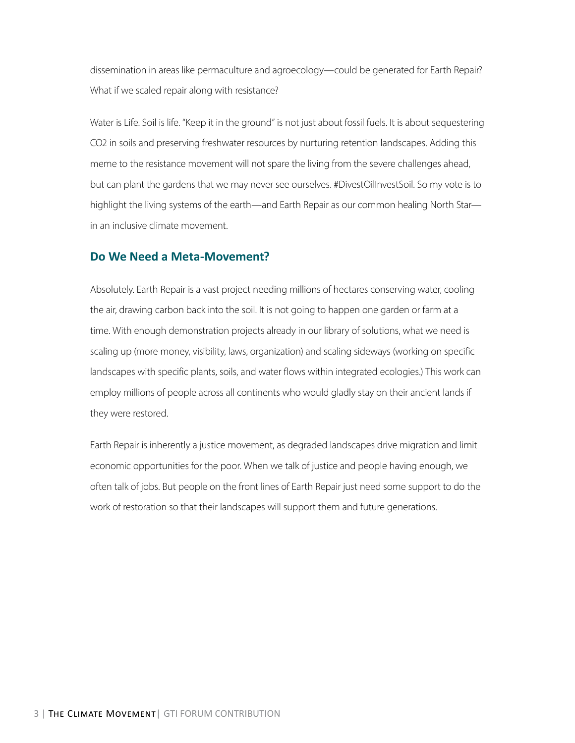dissemination in areas like permaculture and agroecology—could be generated for Earth Repair? What if we scaled repair along with resistance?

Water is Life. Soil is life. "Keep it in the ground" is not just about fossil fuels. It is about sequestering CO2 in soils and preserving freshwater resources by nurturing retention landscapes. Adding this meme to the resistance movement will not spare the living from the severe challenges ahead, but can plant the gardens that we may never see ourselves. #DivestOilInvestSoil. So my vote is to highlight the living systems of the earth—and Earth Repair as our common healing North Star in an inclusive climate movement.

#### **Do We Need a Meta-Movement?**

Absolutely. Earth Repair is a vast project needing millions of hectares conserving water, cooling the air, drawing carbon back into the soil. It is not going to happen one garden or farm at a time. With enough demonstration projects already in our library of solutions, what we need is scaling up (more money, visibility, laws, organization) and scaling sideways (working on specific landscapes with specific plants, soils, and water flows within integrated ecologies.) This work can employ millions of people across all continents who would gladly stay on their ancient lands if they were restored.

Earth Repair is inherently a justice movement, as degraded landscapes drive migration and limit economic opportunities for the poor. When we talk of justice and people having enough, we often talk of jobs. But people on the front lines of Earth Repair just need some support to do the work of restoration so that their landscapes will support them and future generations.